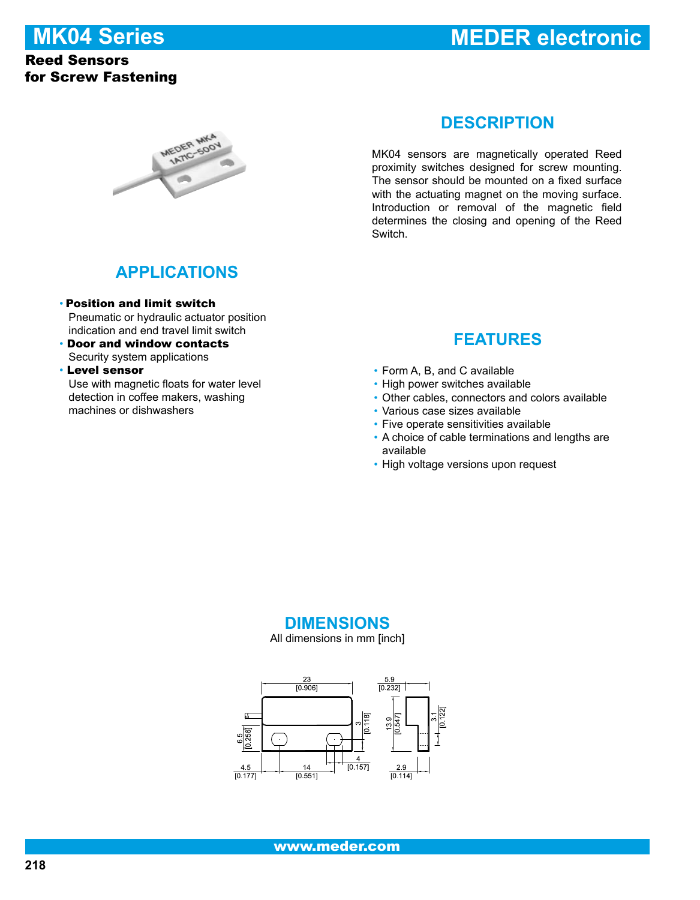# **MK04 Series**

#### Reed Sensors for Screw Fastening

# **MEDER electronic**



#### **DESCRIPTION**

MK04 sensors are magnetically operated Reed proximity switches designed for screw mounting. The sensor should be mounted on a fixed surface with the actuating magnet on the moving surface. Introduction or removal of the magnetic field determines the closing and opening of the Reed Switch.

## **APPLICATIONS**

- Position and limit switch Pneumatic or hydraulic actuator position indication and end travel limit switch
- Door and window contacts Security system applications
- Level sensor

 Use with magnetic floats for water level detection in coffee makers, washing machines or dishwashers

## **FEATURES**

- Form A, B, and C available •
- High power switches available
- Other cables, connectors and colors available •
- Various case sizes available •
- Five operate sensitivities available
- A choice of cable terminations and lengths are available
- High voltage versions upon request

#### **DIMENSIONS**

All dimensions in mm [inch]

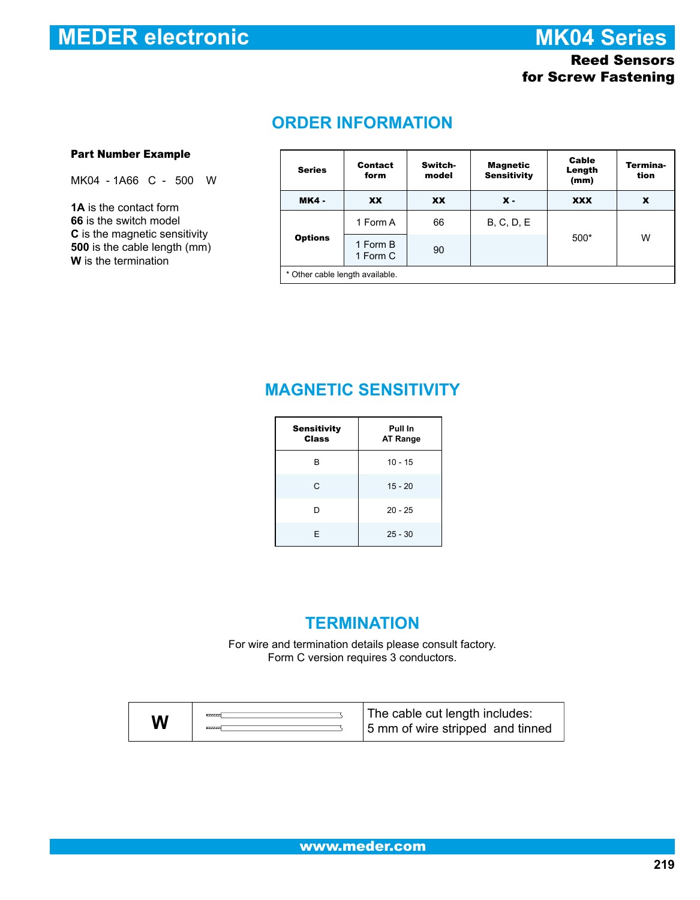# **MEDER electronic**

**MK04 Series**

#### Reed Sensors for Screw Fastening

# **ORDER INFORMATION**

#### Part Number Example

MK04 - 1A66 C - 500 W

**1A** is the contact form **66** is the switch model **C** is the magnetic sensitivity **500** is the cable length (mm) **W** is the termination

| <b>Series</b>                   | Contact<br>form      | Switch-<br>model | Magnetic<br><b>Sensitivity</b> | Cable<br>Length<br>(mm) | Termina-<br>tion |  |
|---------------------------------|----------------------|------------------|--------------------------------|-------------------------|------------------|--|
| <b>MK4 -</b>                    | XX                   | <b>XX</b>        | $x -$                          | <b>XXX</b>              | x                |  |
| <b>Options</b>                  | 1 Form A             | 66               | <b>B, C, D, E</b>              |                         |                  |  |
|                                 | 1 Form B<br>1 Form C | 90               |                                | 500*                    | W                |  |
| * Other cable length available. |                      |                  |                                |                         |                  |  |

# **MAGNETIC SENSITIVITY**

| <b>Sensitivity</b><br>Class | Pull In<br><b>AT Range</b> |
|-----------------------------|----------------------------|
| в                           | $10 - 15$                  |
| C                           | $15 - 20$                  |
| D                           | $20 - 25$                  |
| E                           | $25 - 30$                  |

#### **TERMINATION**

For wire and termination details please consult factory. Form C version requires 3 conductors.

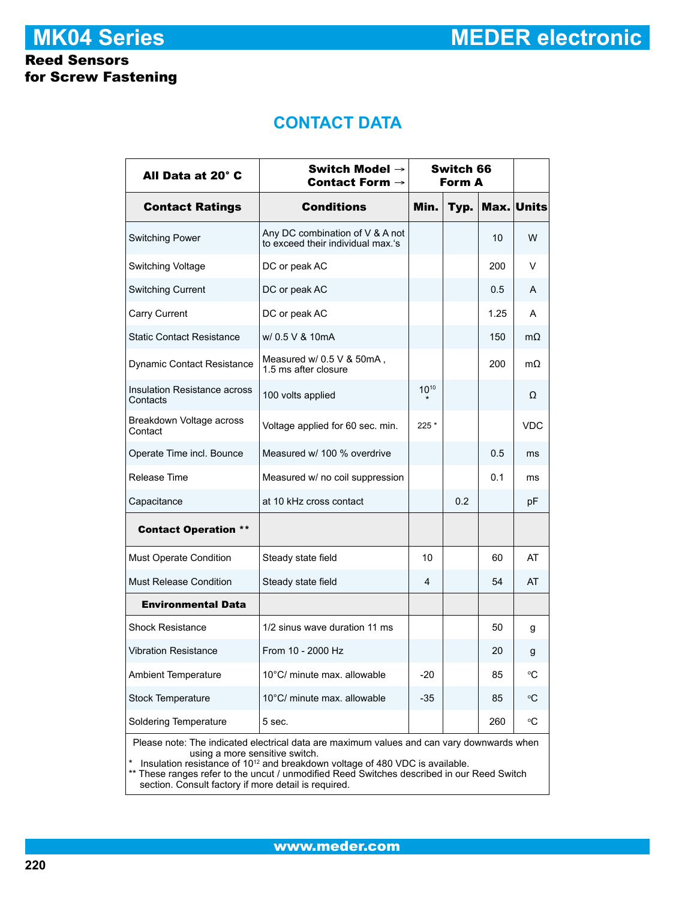**MEDER electronic**

# **MK04 Series**

#### Reed Sensors for Screw Fastening

# **CONTACT DATA**

| All Data at 20° C                                                                                                                                                                                                                                                                                                                                                             | Switch Model $\rightarrow$<br>Contact Form $\rightarrow$             | Switch 66<br>Form A |      |      |            |  |
|-------------------------------------------------------------------------------------------------------------------------------------------------------------------------------------------------------------------------------------------------------------------------------------------------------------------------------------------------------------------------------|----------------------------------------------------------------------|---------------------|------|------|------------|--|
| <b>Contact Ratings</b>                                                                                                                                                                                                                                                                                                                                                        | <b>Conditions</b>                                                    | Min.                | Typ. |      | Max. Units |  |
| <b>Switching Power</b>                                                                                                                                                                                                                                                                                                                                                        | Any DC combination of V & A not<br>to exceed their individual max.'s |                     |      | 10   | W          |  |
| Switching Voltage                                                                                                                                                                                                                                                                                                                                                             | DC or peak AC                                                        |                     |      | 200  | V          |  |
| <b>Switching Current</b>                                                                                                                                                                                                                                                                                                                                                      | DC or peak AC                                                        |                     |      | 0.5  | A          |  |
| Carry Current                                                                                                                                                                                                                                                                                                                                                                 | DC or peak AC                                                        |                     |      | 1.25 | A          |  |
| <b>Static Contact Resistance</b>                                                                                                                                                                                                                                                                                                                                              | w/ 0.5 V & 10mA                                                      |                     |      | 150  | $m\Omega$  |  |
| <b>Dynamic Contact Resistance</b>                                                                                                                                                                                                                                                                                                                                             | Measured w/ 0.5 V & 50mA.<br>1.5 ms after closure                    |                     |      | 200  | $m\Omega$  |  |
| Insulation Resistance across<br>Contacts                                                                                                                                                                                                                                                                                                                                      | 100 volts applied                                                    | $10^{10}$           |      |      | Ω          |  |
| Breakdown Voltage across<br>Contact                                                                                                                                                                                                                                                                                                                                           | Voltage applied for 60 sec. min.                                     | 225 *               |      |      | <b>VDC</b> |  |
| Operate Time incl. Bounce                                                                                                                                                                                                                                                                                                                                                     | Measured w/ 100 % overdrive                                          |                     |      | 0.5  | ms         |  |
| Release Time                                                                                                                                                                                                                                                                                                                                                                  | Measured w/ no coil suppression                                      |                     |      | 0.1  | ms         |  |
| Capacitance                                                                                                                                                                                                                                                                                                                                                                   | at 10 kHz cross contact                                              |                     | 0.2  |      | рF         |  |
| <b>Contact Operation **</b>                                                                                                                                                                                                                                                                                                                                                   |                                                                      |                     |      |      |            |  |
| <b>Must Operate Condition</b>                                                                                                                                                                                                                                                                                                                                                 | Steady state field                                                   | 10                  |      | 60   | AT         |  |
| <b>Must Release Condition</b>                                                                                                                                                                                                                                                                                                                                                 | Steady state field                                                   | 4                   |      | 54   | AT         |  |
| <b>Environmental Data</b>                                                                                                                                                                                                                                                                                                                                                     |                                                                      |                     |      |      |            |  |
| <b>Shock Resistance</b>                                                                                                                                                                                                                                                                                                                                                       | 1/2 sinus wave duration 11 ms                                        |                     |      | 50   | g          |  |
| <b>Vibration Resistance</b>                                                                                                                                                                                                                                                                                                                                                   | From 10 - 2000 Hz                                                    |                     |      | 20   | g          |  |
| <b>Ambient Temperature</b>                                                                                                                                                                                                                                                                                                                                                    | 10°C/ minute max. allowable                                          | $-20$               |      | 85   | °C         |  |
| <b>Stock Temperature</b>                                                                                                                                                                                                                                                                                                                                                      | 10°C/ minute max. allowable                                          | $-35$               |      | 85   | °C         |  |
| <b>Soldering Temperature</b>                                                                                                                                                                                                                                                                                                                                                  | 5 sec.                                                               |                     |      | 260  | °C         |  |
| Please note: The indicated electrical data are maximum values and can vary downwards when<br>using a more sensitive switch.<br>Insulation resistance of 10 <sup>12</sup> and breakdown voltage of 480 VDC is available.<br>** These ranges refer to the uncut / unmodified Reed Switches described in our Reed Switch<br>section. Consult factory if more detail is required. |                                                                      |                     |      |      |            |  |